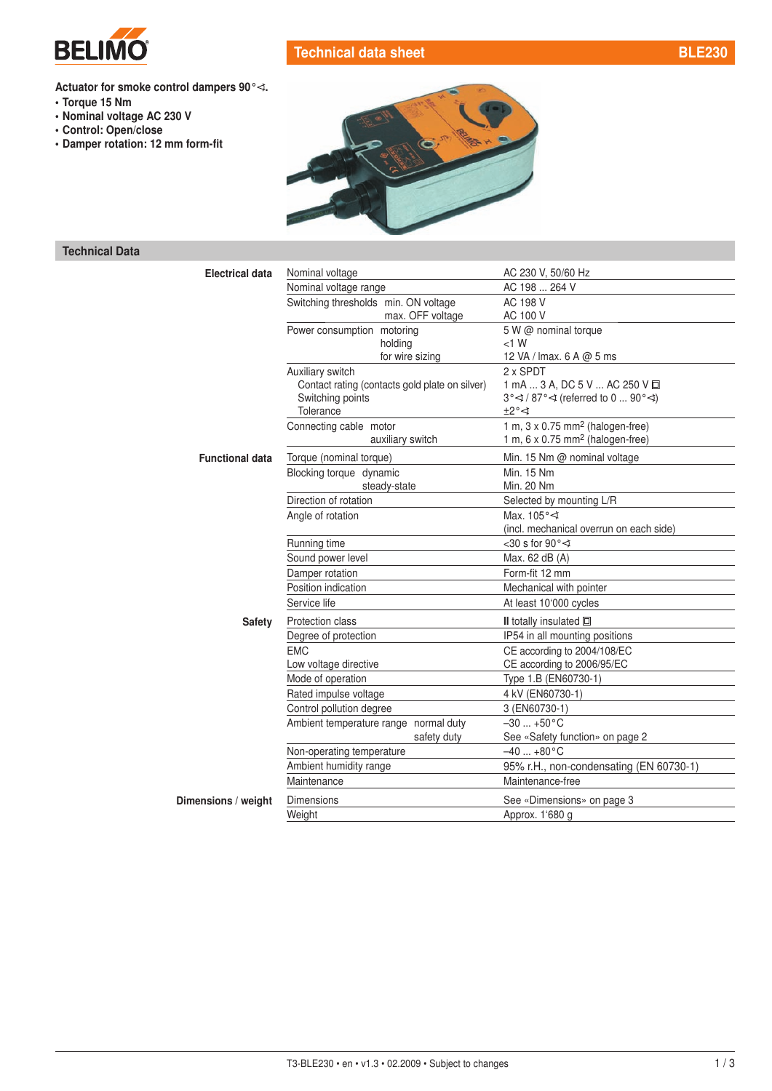

## Technical data sheet [BLE230](http://planetaklimata.com.ua/catalog/lineup/?goodsid=630&path=root-22-45-148-630)

- Torque 15 Nm
- Nominal voltage AC 230 V
- Control: Open/close
- Damper rotation: 12 mm form-fit



## Technical Data

| <b>Electrical data</b> | Nominal voltage                                | AC 230 V, 50/60 Hz                                           |
|------------------------|------------------------------------------------|--------------------------------------------------------------|
|                        | Nominal voltage range                          | AC 198  264 V                                                |
|                        | Switching thresholds min. ON voltage           | AC 198 V                                                     |
|                        | max. OFF voltage                               | AC 100 V                                                     |
|                        | Power consumption motoring                     | 5 W @ nominal torque                                         |
|                        | holding                                        | $<1$ W                                                       |
|                        | for wire sizing                                | 12 VA / Imax. 6 A @ 5 ms                                     |
|                        | Auxiliary switch                               | 2 x SPDT                                                     |
|                        | Contact rating (contacts gold plate on silver) | 1 mA  3 A, DC 5 V  AC 250 V 回                                |
|                        | Switching points                               | $3^{\circ}$ $\leq$ / 87° $\leq$ (referred to 0  90° $\leq$ ) |
|                        | Tolerance                                      | $\pm 2^{\circ} \triangleleft$                                |
|                        | Connecting cable motor                         | 1 m, $3 \times 0.75$ mm <sup>2</sup> (halogen-free)          |
|                        | auxiliary switch                               | 1 m, $6 \times 0.75$ mm <sup>2</sup> (halogen-free)          |
| <b>Functional data</b> | Torque (nominal torque)                        | Min. 15 Nm @ nominal voltage                                 |
|                        | Blocking torque dynamic                        | Min. 15 Nm                                                   |
|                        | steady-state                                   | Min. 20 Nm                                                   |
|                        | Direction of rotation                          | Selected by mounting L/R                                     |
|                        | Angle of rotation                              | Max. 105° <                                                  |
|                        |                                                | (incl. mechanical overrun on each side)                      |
|                        | Running time                                   | <30 s for 90 $\degree$ $\triangleleft$                       |
|                        | Sound power level                              | Max. 62 dB (A)                                               |
|                        | Damper rotation                                | Form-fit 12 mm                                               |
|                        | Position indication                            | Mechanical with pointer                                      |
|                        | Service life                                   | At least 10'000 cycles                                       |
| <b>Safety</b>          | Protection class                               | II totally insulated $\square$                               |
|                        | Degree of protection                           | IP54 in all mounting positions                               |
|                        | <b>EMC</b>                                     | CE according to 2004/108/EC                                  |
|                        | Low voltage directive                          | CE according to 2006/95/EC                                   |
|                        | Mode of operation                              | Type 1.B (EN60730-1)                                         |
|                        | Rated impulse voltage                          | 4 kV (EN60730-1)                                             |
|                        | Control pollution degree                       | 3 (EN60730-1)                                                |
|                        | Ambient temperature range normal duty          | $-30$ $+50^{\circ}$ C                                        |
|                        | safety duty                                    | See «Safety function» on page 2                              |
|                        | Non-operating temperature                      | $-40+80$ °C                                                  |
|                        | Ambient humidity range                         | 95% r.H., non-condensating (EN 60730-1)                      |
|                        | Maintenance                                    | Maintenance-free                                             |
| Dimensions / weight    | <b>Dimensions</b>                              | See «Dimensions» on page 3                                   |
|                        | Weight                                         | Approx. 1'680 g                                              |
|                        |                                                |                                                              |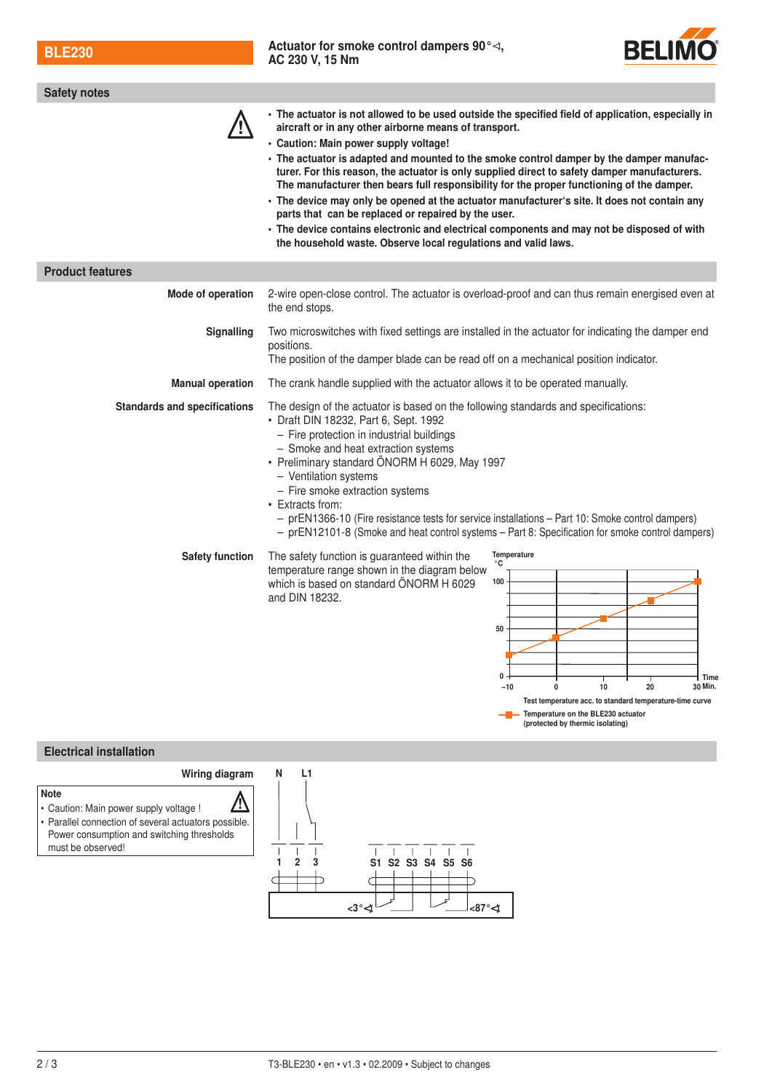BLE230 [Actuator for smoke control dampers](http://planetaklimata.com.ua/katalog-proizvoditeli/Belimo/) 90°*⊰*, Actuator for smoke control dampers 90°*⊰*,



(protected by thermic isolating)

| <b>Safety notes</b>                 |                                                                                                                                                                                                                                                                                                                                                                                                                                                                                                                                                                                                                                                                                                                                                                                                                      |  |
|-------------------------------------|----------------------------------------------------------------------------------------------------------------------------------------------------------------------------------------------------------------------------------------------------------------------------------------------------------------------------------------------------------------------------------------------------------------------------------------------------------------------------------------------------------------------------------------------------------------------------------------------------------------------------------------------------------------------------------------------------------------------------------------------------------------------------------------------------------------------|--|
|                                     | • The actuator is not allowed to be used outside the specified field of application, especially in<br>aircraft or in any other airborne means of transport.<br>· Caution: Main power supply voltage!<br>• The actuator is adapted and mounted to the smoke control damper by the damper manufac-<br>turer. For this reason, the actuator is only supplied direct to safety damper manufacturers.<br>The manufacturer then bears full responsibility for the proper functioning of the damper.<br>• The device may only be opened at the actuator manufacturer's site. It does not contain any<br>parts that can be replaced or repaired by the user.<br>• The device contains electronic and electrical components and may not be disposed of with<br>the household waste. Observe local regulations and valid laws. |  |
| <b>Product features</b>             |                                                                                                                                                                                                                                                                                                                                                                                                                                                                                                                                                                                                                                                                                                                                                                                                                      |  |
| Mode of operation                   | 2-wire open-close control. The actuator is overload-proof and can thus remain energised even at<br>the end stops.                                                                                                                                                                                                                                                                                                                                                                                                                                                                                                                                                                                                                                                                                                    |  |
| Signalling                          | Two microswitches with fixed settings are installed in the actuator for indicating the damper end<br>positions.<br>The position of the damper blade can be read off on a mechanical position indicator.                                                                                                                                                                                                                                                                                                                                                                                                                                                                                                                                                                                                              |  |
| <b>Manual operation</b>             | The crank handle supplied with the actuator allows it to be operated manually.                                                                                                                                                                                                                                                                                                                                                                                                                                                                                                                                                                                                                                                                                                                                       |  |
| <b>Standards and specifications</b> | The design of the actuator is based on the following standards and specifications:<br>• Draft DIN 18232, Part 6, Sept. 1992<br>- Fire protection in industrial buildings<br>- Smoke and heat extraction systems<br>· Preliminary standard ÖNORM H 6029, May 1997<br>- Ventilation systems<br>- Fire smoke extraction systems<br>• Extracts from:<br>- prEN1366-10 (Fire resistance tests for service installations - Part 10: Smoke control dampers)<br>- prEN12101-8 (Smoke and heat control systems - Part 8: Specification for smoke control dampers)                                                                                                                                                                                                                                                             |  |
| <b>Safety function</b>              | Temperature<br>The safety function is guaranteed within the<br>$^\circ{\rm C}$<br>temperature range shown in the diagram below<br>100<br>which is based on standard ÖNORM H 6029<br>and DIN 18232.<br>50<br>0<br>Time<br>10<br>$-10$<br>20<br>30 Min.<br>$\Omega$<br>Test temperature acc. to standard temperature-time curve<br>- Temperature on the BLE230 actuator                                                                                                                                                                                                                                                                                                                                                                                                                                                |  |

## Electrical installation

must be observed!

Note